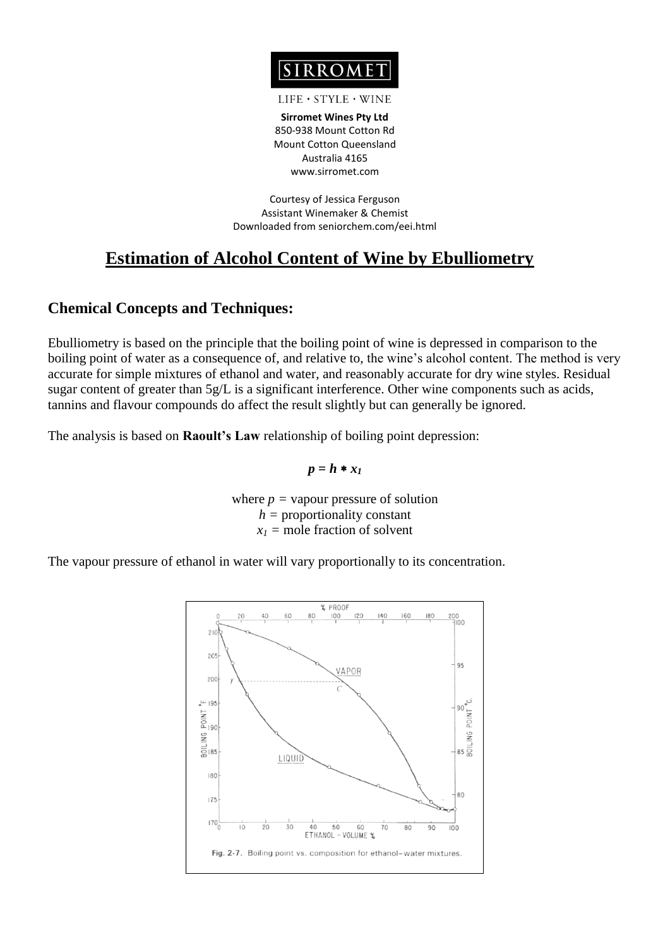

#### $LIFE \cdot STYLE \cdot WINE$

**Sirromet Wines Pty Ltd** 850-938 Mount Cotton Rd Mount Cotton Queensland Australia 4165 www.sirromet.com

Courtesy of Jessica Ferguson Assistant Winemaker & Chemist Downloaded from seniorchem.com/eei.html

# **Estimation of Alcohol Content of Wine by Ebulliometry**

## **Chemical Concepts and Techniques:**

Ebulliometry is based on the principle that the boiling point of wine is depressed in comparison to the boiling point of water as a consequence of, and relative to, the wine's alcohol content. The method is very accurate for simple mixtures of ethanol and water, and reasonably accurate for dry wine styles. Residual sugar content of greater than 5g/L is a significant interference. Other wine components such as acids, tannins and flavour compounds do affect the result slightly but can generally be ignored.

The analysis is based on **Raoult's Law** relationship of boiling point depression:

$$
p=h*x_I
$$

where  $p =$  vapour pressure of solution *h =* proportionality constant  $x_1$  = mole fraction of solvent

The vapour pressure of ethanol in water will vary proportionally to its concentration.

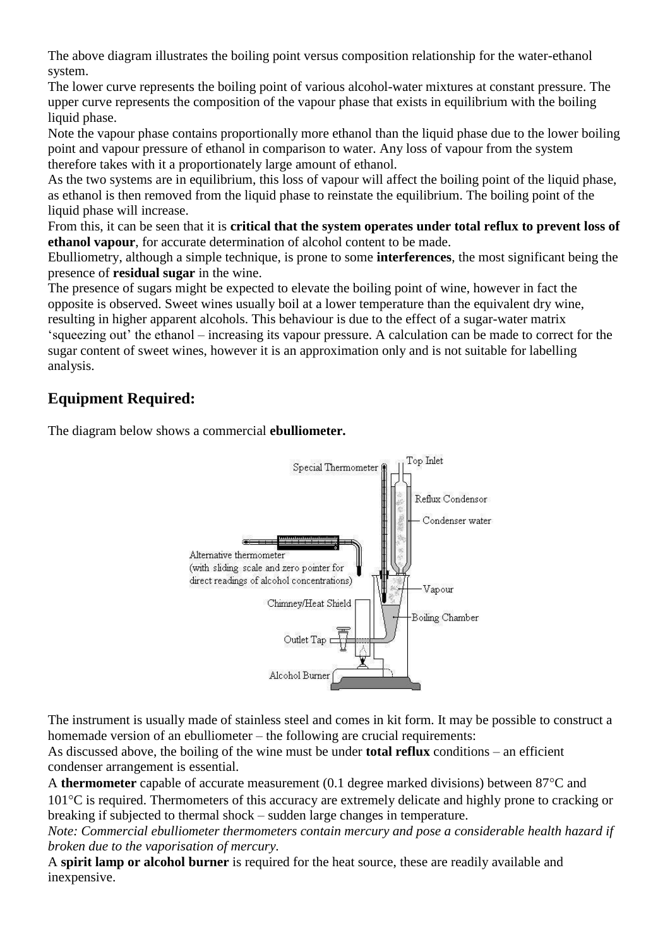The above diagram illustrates the boiling point versus composition relationship for the water-ethanol system.

The lower curve represents the boiling point of various alcohol-water mixtures at constant pressure. The upper curve represents the composition of the vapour phase that exists in equilibrium with the boiling liquid phase.

Note the vapour phase contains proportionally more ethanol than the liquid phase due to the lower boiling point and vapour pressure of ethanol in comparison to water. Any loss of vapour from the system therefore takes with it a proportionately large amount of ethanol.

As the two systems are in equilibrium, this loss of vapour will affect the boiling point of the liquid phase, as ethanol is then removed from the liquid phase to reinstate the equilibrium. The boiling point of the liquid phase will increase.

From this, it can be seen that it is **critical that the system operates under total reflux to prevent loss of ethanol vapour**, for accurate determination of alcohol content to be made.

Ebulliometry, although a simple technique, is prone to some **interferences**, the most significant being the presence of **residual sugar** in the wine.

The presence of sugars might be expected to elevate the boiling point of wine, however in fact the opposite is observed. Sweet wines usually boil at a lower temperature than the equivalent dry wine, resulting in higher apparent alcohols. This behaviour is due to the effect of a sugar-water matrix 'squeezing out' the ethanol – increasing its vapour pressure. A calculation can be made to correct for the sugar content of sweet wines, however it is an approximation only and is not suitable for labelling analysis.

# **Equipment Required:**

The diagram below shows a commercial **ebulliometer.**



The instrument is usually made of stainless steel and comes in kit form. It may be possible to construct a homemade version of an ebulliometer – the following are crucial requirements:

As discussed above, the boiling of the wine must be under **total reflux** conditions – an efficient condenser arrangement is essential.

A **thermometer** capable of accurate measurement  $(0.1$  degree marked divisions) between  $87^{\circ}$ C and 101C is required. Thermometers of this accuracy are extremely delicate and highly prone to cracking or breaking if subjected to thermal shock – sudden large changes in temperature.

*Note: Commercial ebulliometer thermometers contain mercury and pose a considerable health hazard if broken due to the vaporisation of mercury.*

A **spirit lamp or alcohol burner** is required for the heat source, these are readily available and inexpensive.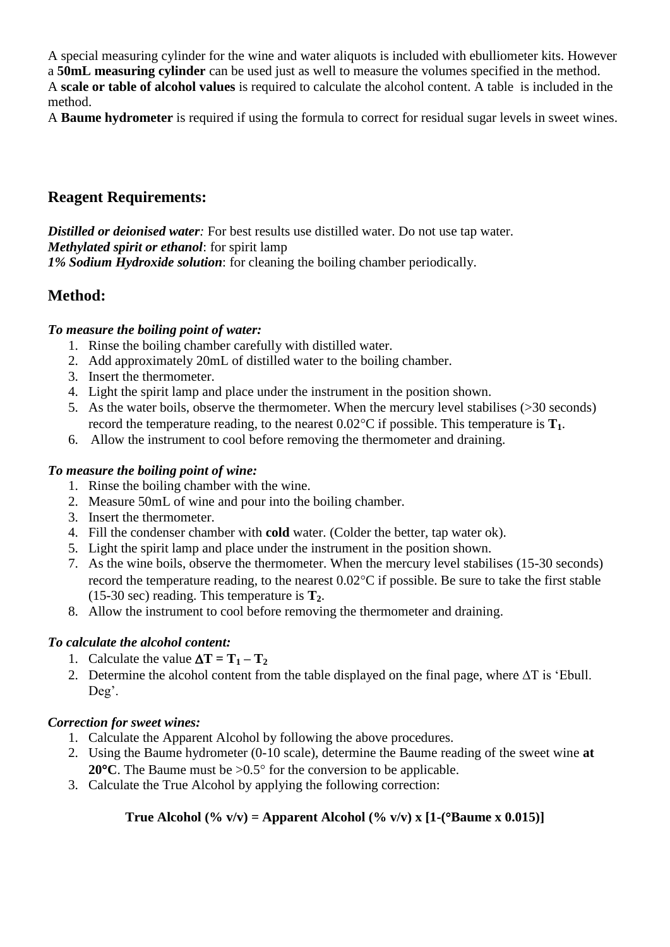A special measuring cylinder for the wine and water aliquots is included with ebulliometer kits. However a **50mL measuring cylinder** can be used just as well to measure the volumes specified in the method. A **scale or table of alcohol values** is required to calculate the alcohol content. A table is included in the method.

A **Baume hydrometer** is required if using the formula to correct for residual sugar levels in sweet wines.

## **Reagent Requirements:**

**Distilled or deionised water**: For best results use distilled water. Do not use tap water. *Methylated spirit or ethanol*: for spirit lamp *1% Sodium Hydroxide solution*: for cleaning the boiling chamber periodically.

## **Method:**

### *To measure the boiling point of water:*

- 1. Rinse the boiling chamber carefully with distilled water.
- 2. Add approximately 20mL of distilled water to the boiling chamber.
- 3. Insert the thermometer.
- 4. Light the spirit lamp and place under the instrument in the position shown.
- 5. As the water boils, observe the thermometer. When the mercury level stabilises (>30 seconds) record the temperature reading, to the nearest  $0.02^{\circ}$ C if possible. This temperature is  $\mathbf{T}_1$ .
- 6. Allow the instrument to cool before removing the thermometer and draining.

#### *To measure the boiling point of wine:*

- 1. Rinse the boiling chamber with the wine.
- 2. Measure 50mL of wine and pour into the boiling chamber.
- 3. Insert the thermometer.
- 4. Fill the condenser chamber with **cold** water. (Colder the better, tap water ok).
- 5. Light the spirit lamp and place under the instrument in the position shown.
- 7. As the wine boils, observe the thermometer. When the mercury level stabilises (15-30 seconds) record the temperature reading, to the nearest  $0.02^{\circ}$ C if possible. Be sure to take the first stable (15-30 sec) reading. This temperature is **T2**.
- 8. Allow the instrument to cool before removing the thermometer and draining.

#### *To calculate the alcohol content:*

- 1. Calculate the value  $\Delta T = T_1 T_2$
- 2. Determine the alcohol content from the table displayed on the final page, where  $\Delta T$  is 'Ebull. Deg'.

#### *Correction for sweet wines:*

- 1. Calculate the Apparent Alcohol by following the above procedures.
- 2. Using the Baume hydrometer (0-10 scale), determine the Baume reading of the sweet wine **at 20** $^{\circ}$ **C**. The Baume must be  $>0.5^{\circ}$  for the conversion to be applicable.
- 3. Calculate the True Alcohol by applying the following correction:

### **True Alcohol (% v/v) = Apparent Alcohol (% v/v) x [1-(** $^{\circ}$ **Baume x 0.015)]**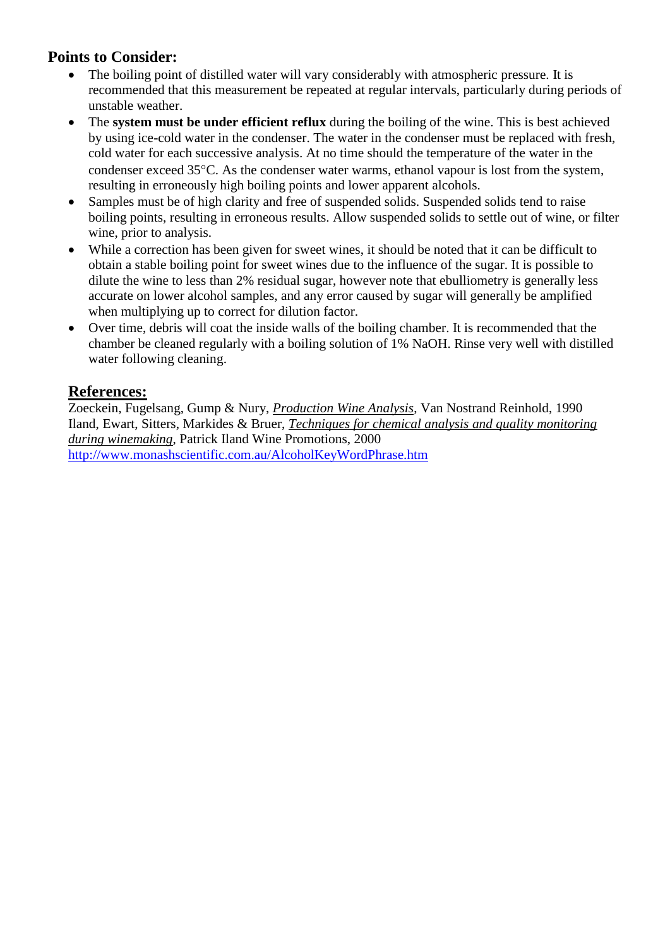## **Points to Consider:**

- The boiling point of distilled water will vary considerably with atmospheric pressure. It is recommended that this measurement be repeated at regular intervals, particularly during periods of unstable weather.
- The **system must be under efficient reflux** during the boiling of the wine. This is best achieved by using ice-cold water in the condenser. The water in the condenser must be replaced with fresh, cold water for each successive analysis. At no time should the temperature of the water in the condenser exceed 35 °C. As the condenser water warms, ethanol vapour is lost from the system, resulting in erroneously high boiling points and lower apparent alcohols.
- Samples must be of high clarity and free of suspended solids. Suspended solids tend to raise boiling points, resulting in erroneous results. Allow suspended solids to settle out of wine, or filter wine, prior to analysis.
- While a correction has been given for sweet wines, it should be noted that it can be difficult to obtain a stable boiling point for sweet wines due to the influence of the sugar. It is possible to dilute the wine to less than 2% residual sugar, however note that ebulliometry is generally less accurate on lower alcohol samples, and any error caused by sugar will generally be amplified when multiplying up to correct for dilution factor.
- Over time, debris will coat the inside walls of the boiling chamber. It is recommended that the chamber be cleaned regularly with a boiling solution of 1% NaOH. Rinse very well with distilled water following cleaning.

## **References:**

Zoeckein, Fugelsang, Gump & Nury, *Production Wine Analysis*, Van Nostrand Reinhold, 1990 Iland, Ewart, Sitters, Markides & Bruer, *Techniques for chemical analysis and quality monitoring during winemaking*, Patrick Iland Wine Promotions, 2000 <http://www.monashscientific.com.au/AlcoholKeyWordPhrase.htm>